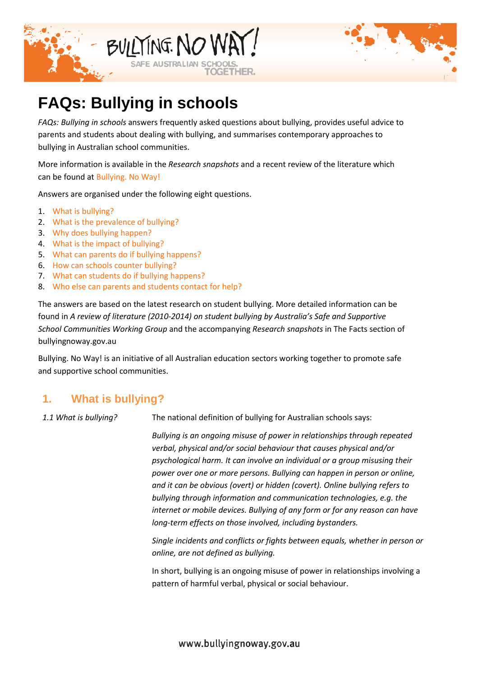



# **FAQs: Bullying in schools**

*FAQs: Bullying in schools* answers frequently asked questions about bullying, provides useful advice to parents and students about dealing with bullying, and summarises contemporary approaches to bullying in Australian school communities.

More information is available in the *Research snapshots* and a recent review of the literature which can be found at [Bullying. No Way!](http://news.bullyingnoway.gov.au/the-facts/Pages/default.aspx)

Answers are organised under the following eight questions.

- 1. [What is bullying?](#page-0-0)
- 2. [What is the prevalence of bullying?](#page-3-0)
- 3. [Why does bullying happen?](#page-3-1)
- 4. [What is the impact of bullying?](#page-4-0)
- 5. [What can parents do if bullying happens?](#page-5-0)
- 6. [How can schools counter bullying?](#page-7-0)
- 7. [What can students do if bullying happens?](#page-10-0)
- 8. [Who else can parents and students contact for help?](#page-11-0)

The answers are based on the latest research on student bullying. More detailed information can be found in *A review of literature (2010-2014) on student bullying by Australia's Safe and Supportive School Communities Working Group* and the accompanying *Research snapshots* in The Facts section of bullyingnoway.gov.au

Bullying. No Way! is an initiative of all Australian education sectors working together to promote safe and supportive school communities.

## <span id="page-0-0"></span>**1. What is bullying?**

*1.1 What is bullying?* The national definition of bullying for Australian schools says:

*Bullying is an ongoing misuse of power in relationships through repeated verbal, physical and/or social behaviour that causes physical and/or psychological harm. It can involve an individual or a group misusing their power over one or more persons. Bullying can happen in person or online, and it can be obvious (overt) or hidden (covert). Online bullying refers to bullying through information and communication technologies, e.g. the internet or mobile devices. Bullying of any form or for any reason can have long-term effects on those involved, including bystanders.*

*Single incidents and conflicts or fights between equals, whether in person or online, are not defined as bullying.*

In short, bullying is an ongoing misuse of power in relationships involving a pattern of harmful verbal, physical or social behaviour.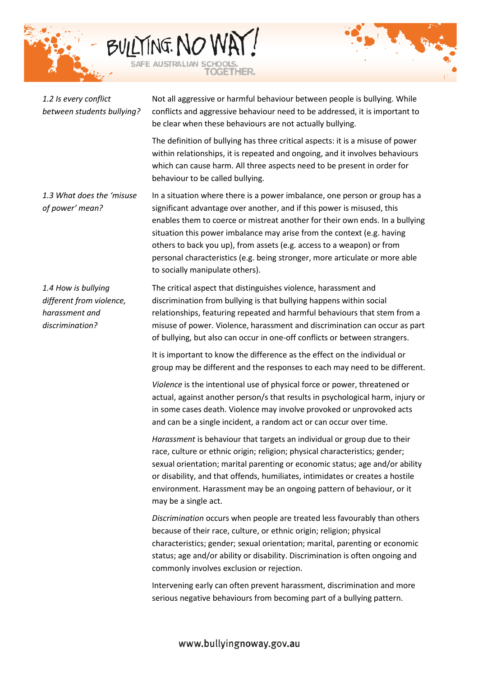



| 1.2 Is every conflict<br>between students bullying?                                  | Not all aggressive or harmful behaviour between people is bullying. While<br>conflicts and aggressive behaviour need to be addressed, it is important to<br>be clear when these behaviours are not actually bullying.                                                                                                                                                                                                                                                                                     |
|--------------------------------------------------------------------------------------|-----------------------------------------------------------------------------------------------------------------------------------------------------------------------------------------------------------------------------------------------------------------------------------------------------------------------------------------------------------------------------------------------------------------------------------------------------------------------------------------------------------|
|                                                                                      | The definition of bullying has three critical aspects: it is a misuse of power<br>within relationships, it is repeated and ongoing, and it involves behaviours<br>which can cause harm. All three aspects need to be present in order for<br>behaviour to be called bullying.                                                                                                                                                                                                                             |
| 1.3 What does the 'misuse<br>of power' mean?                                         | In a situation where there is a power imbalance, one person or group has a<br>significant advantage over another, and if this power is misused, this<br>enables them to coerce or mistreat another for their own ends. In a bullying<br>situation this power imbalance may arise from the context (e.g. having<br>others to back you up), from assets (e.g. access to a weapon) or from<br>personal characteristics (e.g. being stronger, more articulate or more able<br>to socially manipulate others). |
| 1.4 How is bullying<br>different from violence,<br>harassment and<br>discrimination? | The critical aspect that distinguishes violence, harassment and<br>discrimination from bullying is that bullying happens within social<br>relationships, featuring repeated and harmful behaviours that stem from a<br>misuse of power. Violence, harassment and discrimination can occur as part<br>of bullying, but also can occur in one-off conflicts or between strangers.                                                                                                                           |
|                                                                                      | It is important to know the difference as the effect on the individual or<br>group may be different and the responses to each may need to be different.                                                                                                                                                                                                                                                                                                                                                   |
|                                                                                      | Violence is the intentional use of physical force or power, threatened or<br>actual, against another person/s that results in psychological harm, injury or<br>in some cases death. Violence may involve provoked or unprovoked acts<br>and can be a single incident, a random act or can occur over time.                                                                                                                                                                                                |
|                                                                                      | Harassment is behaviour that targets an individual or group due to their<br>race, culture or ethnic origin; religion; physical characteristics; gender;<br>sexual orientation; marital parenting or economic status; age and/or ability<br>or disability, and that offends, humiliates, intimidates or creates a hostile<br>environment. Harassment may be an ongoing pattern of behaviour, or it<br>may be a single act.                                                                                 |
|                                                                                      | Discrimination occurs when people are treated less favourably than others<br>because of their race, culture, or ethnic origin; religion; physical<br>characteristics; gender; sexual orientation; marital, parenting or economic<br>status; age and/or ability or disability. Discrimination is often ongoing and<br>commonly involves exclusion or rejection.                                                                                                                                            |
|                                                                                      | Intervening early can often prevent harassment, discrimination and more<br>serious negative behaviours from becoming part of a bullying pattern.                                                                                                                                                                                                                                                                                                                                                          |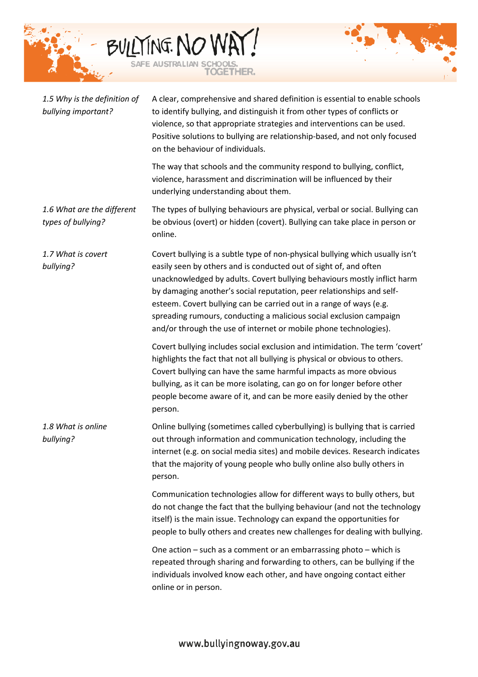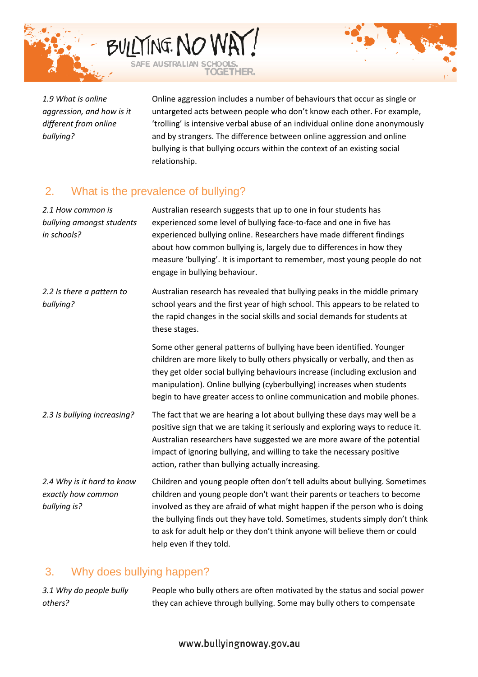



*1.9 What is online aggression, and how is it different from online bullying?*

<span id="page-3-0"></span>Online aggression includes a number of behaviours that occur as single or untargeted acts between people who don't know each other. For example, 'trolling' is intensive verbal abuse of an individual online done anonymously and by strangers. The difference between online aggression and online bullying is that bullying occurs within the context of an existing social relationship.

## 2. What is the prevalence of bullying?

| 2.1 How common is<br>bullying amongst students<br>in schools?    | Australian research suggests that up to one in four students has<br>experienced some level of bullying face-to-face and one in five has<br>experienced bullying online. Researchers have made different findings<br>about how common bullying is, largely due to differences in how they<br>measure 'bullying'. It is important to remember, most young people do not<br>engage in bullying behaviour.                            |
|------------------------------------------------------------------|-----------------------------------------------------------------------------------------------------------------------------------------------------------------------------------------------------------------------------------------------------------------------------------------------------------------------------------------------------------------------------------------------------------------------------------|
| 2.2 Is there a pattern to<br>bullying?                           | Australian research has revealed that bullying peaks in the middle primary<br>school years and the first year of high school. This appears to be related to<br>the rapid changes in the social skills and social demands for students at<br>these stages.                                                                                                                                                                         |
|                                                                  | Some other general patterns of bullying have been identified. Younger<br>children are more likely to bully others physically or verbally, and then as<br>they get older social bullying behaviours increase (including exclusion and<br>manipulation). Online bullying (cyberbullying) increases when students<br>begin to have greater access to online communication and mobile phones.                                         |
| 2.3 Is bullying increasing?                                      | The fact that we are hearing a lot about bullying these days may well be a<br>positive sign that we are taking it seriously and exploring ways to reduce it.<br>Australian researchers have suggested we are more aware of the potential<br>impact of ignoring bullying, and willing to take the necessary positive<br>action, rather than bullying actually increasing.                                                          |
| 2.4 Why is it hard to know<br>exactly how common<br>bullying is? | Children and young people often don't tell adults about bullying. Sometimes<br>children and young people don't want their parents or teachers to become<br>involved as they are afraid of what might happen if the person who is doing<br>the bullying finds out they have told. Sometimes, students simply don't think<br>to ask for adult help or they don't think anyone will believe them or could<br>help even if they told. |

## <span id="page-3-1"></span>3. Why does bullying happen?

*3.1 Why do people bully others?* People who bully others are often motivated by the status and social power they can achieve through bullying. Some may bully others to compensate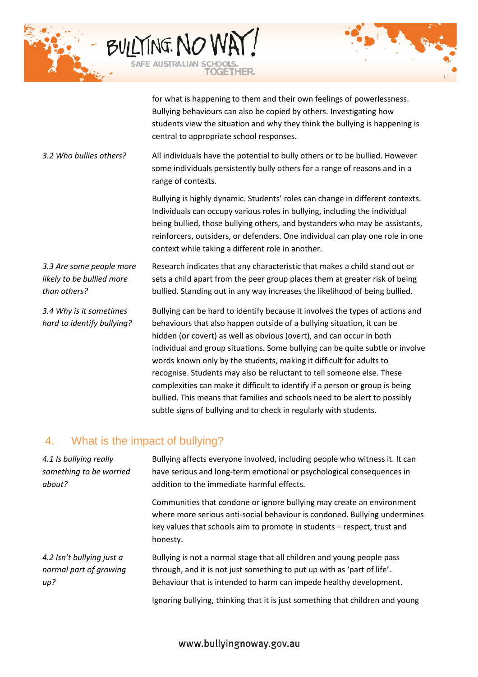



for what is happening to them and their own feelings of powerlessness. Bullying behaviours can also be copied by others. Investigating how students view the situation and why they think the bullying is happening is central to appropriate school responses.

*3.2 Who bullies others?* All individuals have the potential to bully others or to be bullied. However some individuals persistently bully others for a range of reasons and in a range of contexts.

> Bullying is highly dynamic. Students' roles can change in different contexts. Individuals can occupy various roles in bullying, including the individual being bullied, those bullying others, and bystanders who may be assistants, reinforcers, outsiders, or defenders. One individual can play one role in one context while taking a different role in another.

*3.3 Are some people more likely to be bullied more than others?* Research indicates that any characteristic that makes a child stand out or sets a child apart from the peer group places them at greater risk of being bullied. Standing out in any way increases the likelihood of being bullied.

*3.4 Why is it sometimes hard to identify bullying?*

Bullying can be hard to identify because it involves the types of actions and behaviours that also happen outside of a bullying situation, it can be hidden (or covert) as well as obvious (overt), and can occur in both individual and group situations. Some bullying can be quite subtle or involve words known only by the students, making it difficult for adults to recognise. Students may also be reluctant to tell someone else. These complexities can make it difficult to identify if a person or group is being bullied. This means that families and schools need to be alert to possibly subtle signs of bullying and to check in regularly with students.

#### <span id="page-4-0"></span>4. What is the impact of bullying?

*4.1 Is bullying really something to be worried about?* Bullying affects everyone involved, including people who witness it. It can have serious and long-term emotional or psychological consequences in addition to the immediate harmful effects. Communities that condone or ignore bullying may create an environment where more serious anti-social behaviour is condoned. Bullying undermines key values that schools aim to promote in students – respect, trust and honesty. *4.2 Isn't bullying just a normal part of growing up?* Bullying is not a normal stage that all children and young people pass through, and it is not just something to put up with as 'part of life'. Behaviour that is intended to harm can impede healthy development.

Ignoring bullying, thinking that it is just something that children and young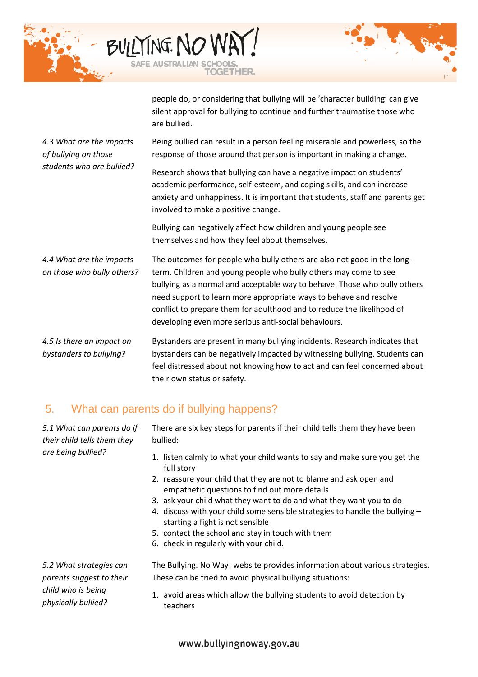



people do, or considering that bullying will be 'character building' can give silent approval for bullying to continue and further traumatise those who are bullied.

*4.3 What are the impacts of bullying on those students who are bullied?* Being bullied can result in a person feeling miserable and powerless, so the response of those around that person is important in making a change. Research shows that bullying can have a negative impact on students'

academic performance, self-esteem, and coping skills, and can increase anxiety and unhappiness. It is important that students, staff and parents get involved to make a positive change.

Bullying can negatively affect how children and young people see themselves and how they feel about themselves.

*4.4 What are the impacts on those who bully others?* The outcomes for people who bully others are also not good in the longterm. Children and young people who bully others may come to see bullying as a normal and acceptable way to behave. Those who bully others need support to learn more appropriate ways to behave and resolve conflict to prepare them for adulthood and to reduce the likelihood of developing even more serious anti-social behaviours.

*4.5 Is there an impact on bystanders to bullying?* Bystanders are present in many bullying incidents. Research indicates that bystanders can be negatively impacted by witnessing bullying. Students can feel distressed about not knowing how to act and can feel concerned about their own status or safety.

## 5. What can parents do if bullying happens?

*5.1 What can parents do if their child tells them they are being bullied?*

<span id="page-5-0"></span>There are six key steps for parents if their child tells them they have been bullied:

- 1. listen calmly to what your child wants to say and make sure you get the full story
- 2. reassure your child that they are not to blame and ask open and empathetic questions to find out more details
- 3. ask your child what they want to do and what they want you to do
- 4. discuss with your child some sensible strategies to handle the bullying starting a fight is not sensible
- 5. contact the school and stay in touch with them
- 6. check in regularly with your child.

*5.2 What strategies can parents suggest to their child who is being physically bullied?*

The Bullying. No Way! website provides information about various strategies. These can be tried to avoid physical bullying situations:

1. avoid areas which allow the bullying students to avoid detection by teachers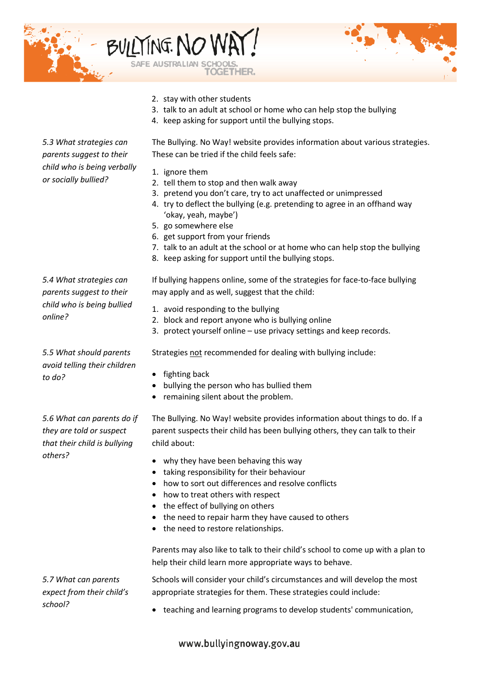



- 2. stay with other students
- 3. talk to an adult at school or home who can help stop the bullying
- 4. keep asking for support until the bullying stops.

The Bullying. No Way! website provides information about various strategies. These can be tried if the child feels safe:

- 1. ignore them
- 2. tell them to stop and then walk away
- 3. pretend you don't care, try to act unaffected or unimpressed
- 4. try to deflect the bullying (e.g. pretending to agree in an offhand way 'okay, yeah, maybe')
- 5. go somewhere else
- 6. get support from your friends
- 7. talk to an adult at the school or at home who can help stop the bullying
- 8. keep asking for support until the bullying stops.

*5.4 What strategies can parents suggest to their child who is being bullied online?*

*5.3 What strategies can parents suggest to their child who is being verbally* 

*or socially bullied?*

*5.5 What should parents avoid telling their children to do?*

*5.6 What can parents do if they are told or suspect that their child is bullying others?*

*5.7 What can parents expect from their child's* 

*school?*

If bullying happens online, some of the strategies for face-to-face bullying may apply and as well, suggest that the child:

- 1. avoid responding to the bullying
- 2. block and report anyone who is bullying online
- 3. protect yourself online use privacy settings and keep records.

Strategies not recommended for dealing with bullying include:

- fighting back
- bullying the person who has bullied them
- remaining silent about the problem.

The Bullying. No Way! website provides information about things to do. If a parent suspects their child has been bullying others, they can talk to their child about:

- why they have been behaving this way
- taking responsibility for their behaviour
- how to sort out differences and resolve conflicts
- how to treat others with respect
- the effect of bullying on others
- the need to repair harm they have caused to others
- the need to restore relationships.

Parents may also like to talk to their child's school to come up with a plan to help their child learn more appropriate ways to behave.

Schools will consider your child's circumstances and will develop the most appropriate strategies for them. These strategies could include:

• teaching and learning programs to develop students' communication,

www.bullyingnoway.gov.au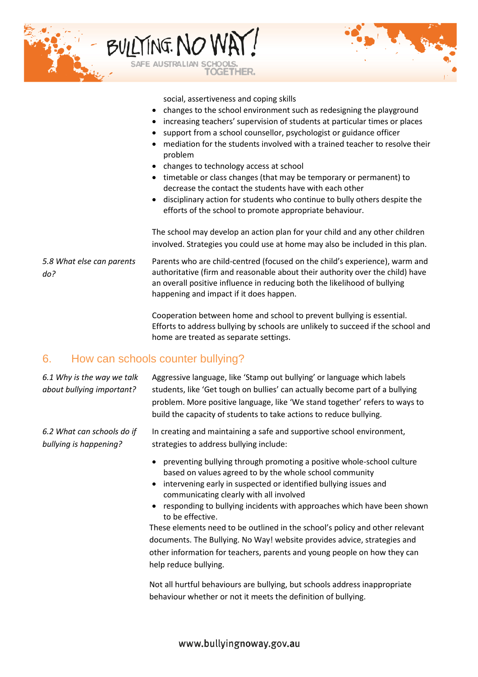

social, assertiveness and coping skills

- changes to the school environment such as redesigning the playground
- increasing teachers' supervision of students at particular times or places
- support from a school counsellor, psychologist or guidance officer
- mediation for the students involved with a trained teacher to resolve their problem
- changes to technology access at school
- timetable or class changes (that may be temporary or permanent) to decrease the contact the students have with each other
- disciplinary action for students who continue to bully others despite the efforts of the school to promote appropriate behaviour.

The school may develop an action plan for your child and any other children involved. Strategies you could use at home may also be included in this plan.

*5.8 What else can parents do?* Parents who are child-centred (focused on the child's experience), warm and authoritative (firm and reasonable about their authority over the child) have an overall positive influence in reducing both the likelihood of bullying happening and impact if it does happen.

> <span id="page-7-0"></span>Cooperation between home and school to prevent bullying is essential. Efforts to address bullying by schools are unlikely to succeed if the school and home are treated as separate settings.

#### 6. How can schools counter bullying?

*6.1 Why is the way we talk about bullying important?* Aggressive language, like 'Stamp out bullying' or language which labels students, like 'Get tough on bullies' can actually become part of a bullying problem. More positive language, like 'We stand together' refers to ways to build the capacity of students to take actions to reduce bullying.

*6.2 What can schools do if bullying is happening?* In creating and maintaining a safe and supportive school environment, strategies to address bullying include:

- preventing bullying through promoting a positive whole-school culture based on values agreed to by the whole school community
- intervening early in suspected or identified bullying issues and communicating clearly with all involved
- responding to bullying incidents with approaches which have been shown to be effective.

These elements need to be outlined in the school's policy and other relevant documents. The Bullying. No Way! website provides advice, strategies and other information for teachers, parents and young people on how they can help reduce bullying.

Not all hurtful behaviours are bullying, but schools address inappropriate behaviour whether or not it meets the definition of bullying.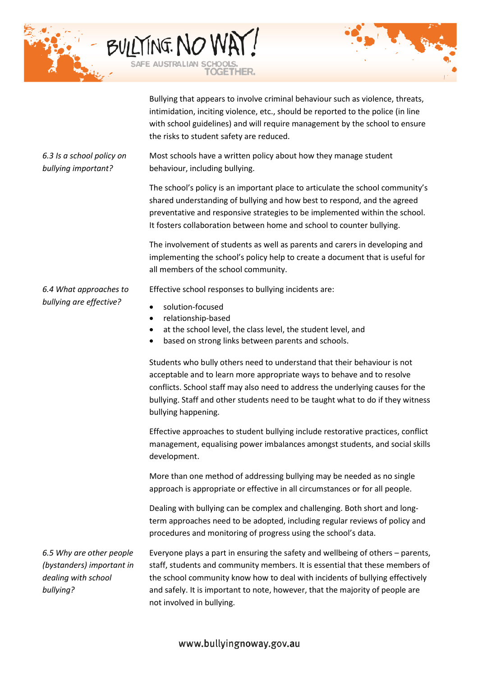



Bullying that appears to involve criminal behaviour such as violence, threats, intimidation, inciting violence, etc., should be reported to the police (in line with school guidelines) and will require management by the school to ensure the risks to student safety are reduced.

*6.3 Is a school policy on bullying important?* Most schools have a written policy about how they manage student behaviour, including bullying.

> The school's policy is an important place to articulate the school community's shared understanding of bullying and how best to respond, and the agreed preventative and responsive strategies to be implemented within the school. It fosters collaboration between home and school to counter bullying.

The involvement of students as well as parents and carers in developing and implementing the school's policy help to create a document that is useful for all members of the school community.

Effective school responses to bullying incidents are:

- solution-focused
- relationship-based
- at the school level, the class level, the student level, and
- based on strong links between parents and schools.

Students who bully others need to understand that their behaviour is not acceptable and to learn more appropriate ways to behave and to resolve conflicts. School staff may also need to address the underlying causes for the bullying. Staff and other students need to be taught what to do if they witness bullying happening.

Effective approaches to student bullying include restorative practices, conflict management, equalising power imbalances amongst students, and social skills development.

More than one method of addressing bullying may be needed as no single approach is appropriate or effective in all circumstances or for all people.

Dealing with bullying can be complex and challenging. Both short and longterm approaches need to be adopted, including regular reviews of policy and procedures and monitoring of progress using the school's data.

*6.5 Why are other people (bystanders) important in dealing with school bullying?* 

*6.4 What approaches to bullying are effective?*

> Everyone plays a part in ensuring the safety and wellbeing of others – parents, staff, students and community members. It is essential that these members of the school community know how to deal with incidents of bullying effectively and safely. It is important to note, however, that the majority of people are not involved in bullying.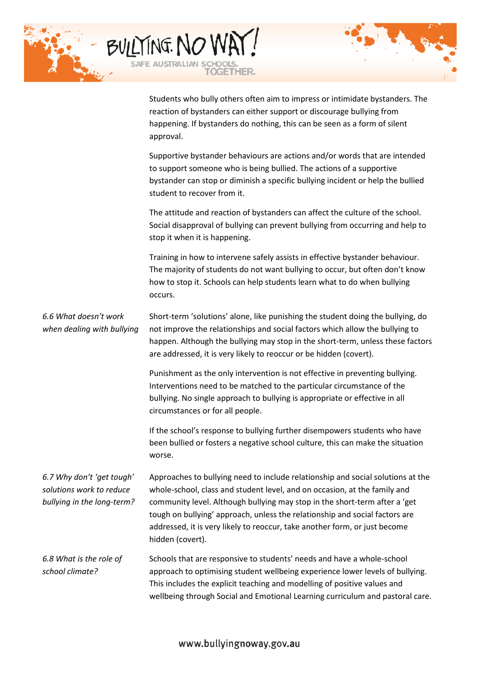| BULLTING. NO WAY!<br><b>OGETHER.</b>                                                                                                                                                                                               |  |
|------------------------------------------------------------------------------------------------------------------------------------------------------------------------------------------------------------------------------------|--|
| Students who bully others often aim to impress or intimidate bystanders. The<br>reaction of bystanders can either support or discourage bullying from<br>happening. If bystanders do nothing, this can be seen as a form of silent |  |

approval.

Supportive bystander behaviours are actions and/or words that are intended to support someone who is being bullied. The actions of a supportive bystander can stop or diminish a specific bullying incident or help the bullied student to recover from it. The attitude and reaction of bystanders can affect the culture of the school. Social disapproval of bullying can prevent bullying from occurring and help to stop it when it is happening. Training in how to intervene safely assists in effective bystander behaviour. The majority of students do not want bullying to occur, but often don't know

how to stop it. Schools can help students learn what to do when bullying

occurs. *6.6 What doesn't work when dealing with bullying* Short-term 'solutions' alone, like punishing the student doing the bullying, do not improve the relationships and social factors which allow the bullying to happen. Although the bullying may stop in the short-term, unless these factors are addressed, it is very likely to reoccur or be hidden (covert). Punishment as the only intervention is not effective in preventing bullying. Interventions need to be matched to the particular circumstance of the bullying. No single approach to bullying is appropriate or effective in all circumstances or for all people. If the school's response to bullying further disempowers students who have been bullied or fosters a negative school culture, this can make the situation worse. *6.7 Why don't 'get tough' solutions work to reduce bullying in the long-term?* Approaches to bullying need to include relationship and social solutions at the whole-school, class and student level, and on occasion, at the family and community level. Although bullying may stop in the short-term after a 'get tough on bullying' approach, unless the relationship and social factors are addressed, it is very likely to reoccur, take another form, or just become hidden (covert). *6.8 What is the role of school climate?* Schools that are responsive to students' needs and have a whole-school approach to optimising student wellbeing experience lower levels of bullying. This includes the explicit teaching and modelling of positive values and

wellbeing through Social and Emotional Learning curriculum and pastoral care.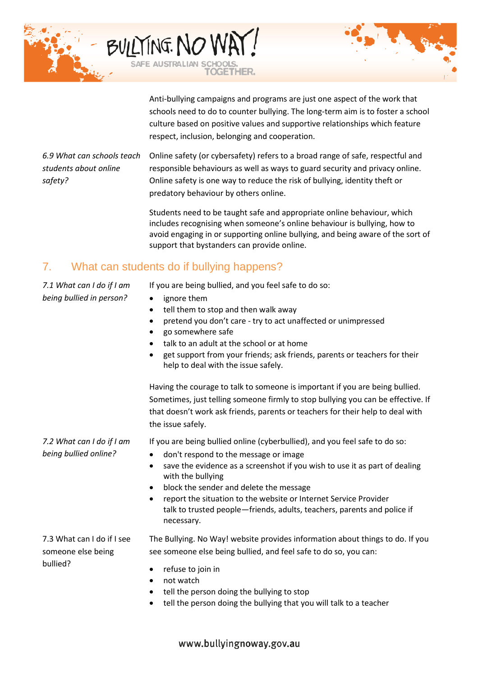

Anti-bullying campaigns and programs are just one aspect of the work that schools need to do to counter bullying. The long-term aim is to foster a school culture based on positive values and supportive relationships which feature respect, inclusion, belonging and cooperation.

*6.9 What can schools teach students about online safety?*  Online safety (or cybersafety) refers to a broad range of safe, respectful and responsible behaviours as well as ways to guard security and privacy online. Online safety is one way to reduce the risk of bullying, identity theft or predatory behaviour by others online.

> Students need to be taught safe and appropriate online behaviour, which includes recognising when someone's online behaviour is bullying, how to avoid engaging in or supporting online bullying, and being aware of the sort of support that bystanders can provide online.

### 7. What can students do if bullying happens?

*7.1 What can I do if I am being bullied in person?*

<span id="page-10-0"></span>If you are being bullied, and you feel safe to do so:

- ignore them
- tell them to stop and then walk away
- pretend you don't care try to act unaffected or unimpressed
- go somewhere safe
- talk to an adult at the school or at home
- get support from your friends; ask friends, parents or teachers for their help to deal with the issue safely.

Having the courage to talk to someone is important if you are being bullied. Sometimes, just telling someone firmly to stop bullying you can be effective. If that doesn't work ask friends, parents or teachers for their help to deal with the issue safely.

If you are being bullied online (cyberbullied), and you feel safe to do so:

- don't respond to the message or image
- save the evidence as a screenshot if you wish to use it as part of dealing with the bullying
- block the sender and delete the message
- report the situation to the website or Internet Service Provider talk to trusted people—friends, adults, teachers, parents and police if necessary.

7.3 What can I do if I see someone else being bullied?

*7.2 What can I do if I am being bullied online?*

> The Bullying. No Way! website provides information about things to do. If you see someone else being bullied, and feel safe to do so, you can:

- refuse to join in
- not watch
- tell the person doing the bullying to stop
- tell the person doing the bullying that you will talk to a teacher